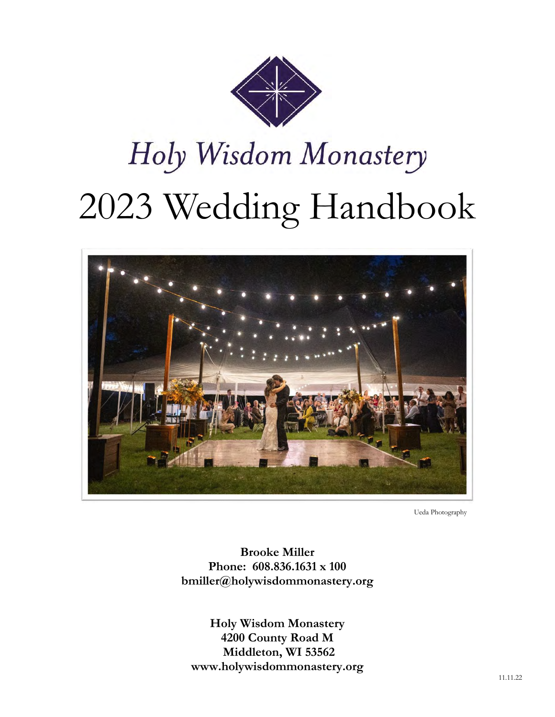

# Holy Wisdom Monastery 2023 Wedding Handbook



Ueda Photography

**Brooke Miller Phone: 608.836.1631 x 100 bmiller@holywisdommonastery.org**

**Holy Wisdom Monastery 4200 County Road M Middleton, WI 53562 www.holywisdommonastery.org**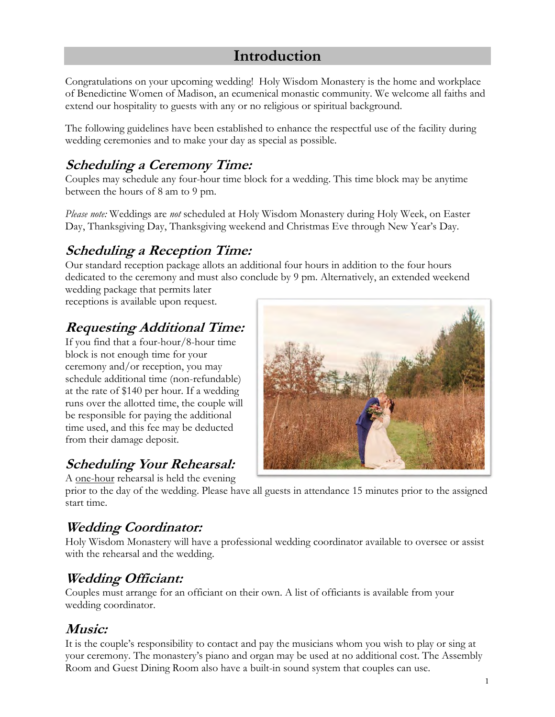# **Introduction**

Congratulations on your upcoming wedding! Holy Wisdom Monastery is the home and workplace of Benedictine Women of Madison, an ecumenical monastic community. We welcome all faiths and extend our hospitality to guests with any or no religious or spiritual background.

The following guidelines have been established to enhance the respectful use of the facility during wedding ceremonies and to make your day as special as possible.

# **Scheduling a Ceremony Time:**

Couples may schedule any four-hour time block for a wedding. This time block may be anytime between the hours of 8 am to 9 pm.

*Please note:* Weddings are *not* scheduled at Holy Wisdom Monastery during Holy Week, on Easter Day, Thanksgiving Day, Thanksgiving weekend and Christmas Eve through New Year's Day.

# **Scheduling a Reception Time:**

Our standard reception package allots an additional four hours in addition to the four hours dedicated to the ceremony and must also conclude by 9 pm. Alternatively, an extended weekend wedding package that permits later

receptions is available upon request.

# **Requesting Additional Time:**

If you find that a four-hour/8-hour time block is not enough time for your ceremony and/or reception, you may schedule additional time (non-refundable) at the rate of \$140 per hour. If a wedding runs over the allotted time, the couple will be responsible for paying the additional time used, and this fee may be deducted from their damage deposit.

# **Scheduling Your Rehearsal:**

A one-hour rehearsal is held the evening

prior to the day of the wedding. Please have all guests in attendance 15 minutes prior to the assigned start time.

# **Wedding Coordinator:**

Holy Wisdom Monastery will have a professional wedding coordinator available to oversee or assist with the rehearsal and the wedding.

# **Wedding Officiant:**

Couples must arrange for an officiant on their own. A list of officiants is available from your wedding coordinator.

### **Music:**

It is the couple's responsibility to contact and pay the musicians whom you wish to play or sing at your ceremony. The monastery's piano and organ may be used at no additional cost. The Assembly Room and Guest Dining Room also have a built-in sound system that couples can use.

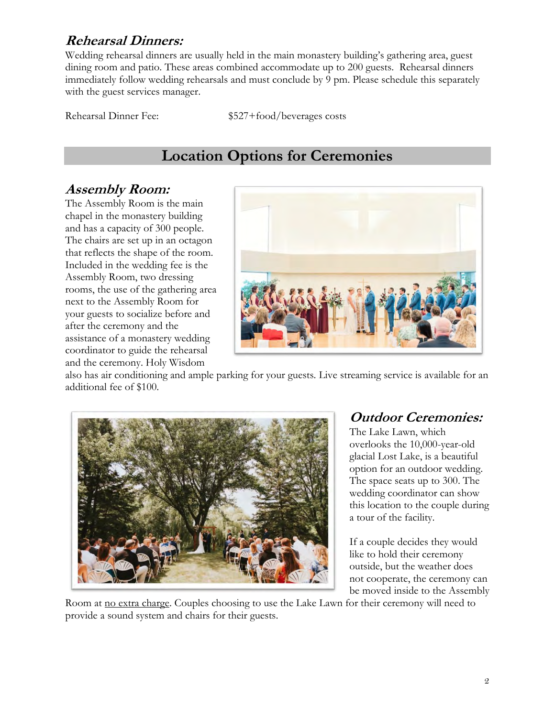### **Rehearsal Dinners:**

Wedding rehearsal dinners are usually held in the main monastery building's gathering area, guest dining room and patio. These areas combined accommodate up to 200 guests. Rehearsal dinners immediately follow wedding rehearsals and must conclude by 9 pm. Please schedule this separately with the guest services manager.

Rehearsal Dinner Fee:  $$527+food/beverages costs$ 

# **Location Options for Ceremonies**

### **Assembly Room:**

The Assembly Room is the main chapel in the monastery building and has a capacity of 300 people. The chairs are set up in an octagon that reflects the shape of the room. Included in the wedding fee is the Assembly Room, two dressing rooms, the use of the gathering area next to the Assembly Room for your guests to socialize before and after the ceremony and the assistance of a monastery wedding coordinator to guide the rehearsal and the ceremony. Holy Wisdom



also has air conditioning and ample parking for your guests. Live streaming service is available for an additional fee of \$100.



### **Outdoor Ceremonies:**

The Lake Lawn, which overlooks the 10,000-year-old glacial Lost Lake, is a beautiful option for an outdoor wedding. The space seats up to 300. The wedding coordinator can show this location to the couple during a tour of the facility.

If a couple decides they would like to hold their ceremony outside, but the weather does not cooperate, the ceremony can be moved inside to the Assembly

Room at <u>no extra charge</u>. Couples choosing to use the Lake Lawn for their ceremony will need to provide a sound system and chairs for their guests.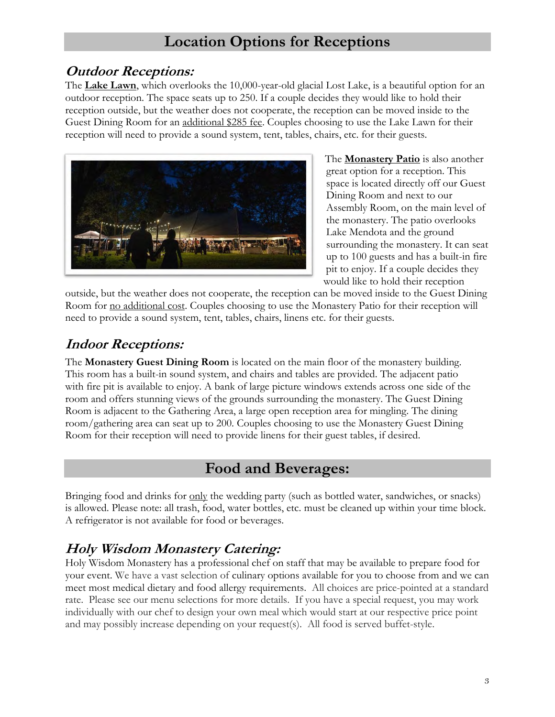# **Location Options for Receptions**

### **Outdoor Receptions:**

The **Lake Lawn**, which overlooks the 10,000-year-old glacial Lost Lake, is a beautiful option for an outdoor reception. The space seats up to 250. If a couple decides they would like to hold their reception outside, but the weather does not cooperate, the reception can be moved inside to the Guest Dining Room for an additional \$285 fee. Couples choosing to use the Lake Lawn for their reception will need to provide a sound system, tent, tables, chairs, etc. for their guests.



The **Monastery Patio** is also another great option for a reception. This space is located directly off our Guest Dining Room and next to our Assembly Room, on the main level of the monastery. The patio overlooks Lake Mendota and the ground surrounding the monastery. It can seat up to 100 guests and has a built-in fire pit to enjoy. If a couple decides they would like to hold their reception

outside, but the weather does not cooperate, the reception can be moved inside to the Guest Dining Room for <u>no additional cost</u>. Couples choosing to use the Monastery Patio for their reception will need to provide a sound system, tent, tables, chairs, linens etc. for their guests.

# **Indoor Receptions:**

The **Monastery Guest Dining Room** is located on the main floor of the monastery building. This room has a built-in sound system, and chairs and tables are provided. The adjacent patio with fire pit is available to enjoy. A bank of large picture windows extends across one side of the room and offers stunning views of the grounds surrounding the monastery. The Guest Dining Room is adjacent to the Gathering Area, a large open reception area for mingling. The dining room/gathering area can seat up to 200. Couples choosing to use the Monastery Guest Dining Room for their reception will need to provide linens for their guest tables, if desired.

# **Food and Beverages:**

Bringing food and drinks for only the wedding party (such as bottled water, sandwiches, or snacks) is allowed. Please note: all trash, food, water bottles, etc. must be cleaned up within your time block. A refrigerator is not available for food or beverages.

# **Holy Wisdom Monastery Catering:**

Holy Wisdom Monastery has a professional chef on staff that may be available to prepare food for your event. We have a vast selection of culinary options available for you to choose from and we can meet most medical dietary and food allergy requirements. All choices are price-pointed at a standard rate. Please see our menu selections for more details. If you have a special request, you may work individually with our chef to design your own meal which would start at our respective price point and may possibly increase depending on your request(s). All food is served buffet-style.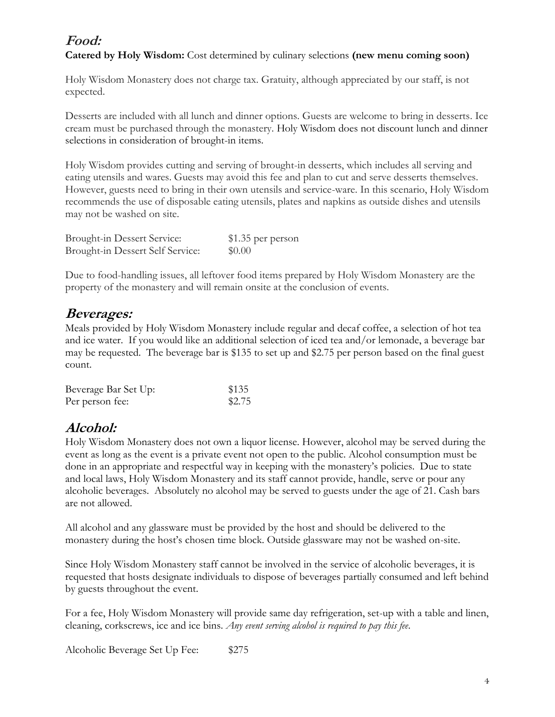### **Food:**

**Catered by Holy Wisdom:** Cost determined by culinary selections **(new menu coming soon)** 

Holy Wisdom Monastery does not charge tax. Gratuity, although appreciated by our staff, is not expected.

Desserts are included with all lunch and dinner options. Guests are welcome to bring in desserts. Ice cream must be purchased through the monastery. Holy Wisdom does not discount lunch and dinner selections in consideration of brought-in items.

Holy Wisdom provides cutting and serving of brought-in desserts, which includes all serving and eating utensils and wares. Guests may avoid this fee and plan to cut and serve desserts themselves. However, guests need to bring in their own utensils and service-ware. In this scenario, Holy Wisdom recommends the use of disposable eating utensils, plates and napkins as outside dishes and utensils may not be washed on site.

| Brought-in Dessert Service:      | \$1.35 per person |
|----------------------------------|-------------------|
| Brought-in Dessert Self Service: | \$0.00            |

Due to food-handling issues, all leftover food items prepared by Holy Wisdom Monastery are the property of the monastery and will remain onsite at the conclusion of events.

### **Beverages:**

Meals provided by Holy Wisdom Monastery include regular and decaf coffee, a selection of hot tea and ice water. If you would like an additional selection of iced tea and/or lemonade, a beverage bar may be requested. The beverage bar is \$135 to set up and \$2.75 per person based on the final guest count.

| Beverage Bar Set Up: | \$135  |
|----------------------|--------|
| Per person fee:      | \$2.75 |

### **Alcohol:**

Holy Wisdom Monastery does not own a liquor license. However, alcohol may be served during the event as long as the event is a private event not open to the public. Alcohol consumption must be done in an appropriate and respectful way in keeping with the monastery's policies. Due to state and local laws, Holy Wisdom Monastery and its staff cannot provide, handle, serve or pour any alcoholic beverages. Absolutely no alcohol may be served to guests under the age of 21. Cash bars are not allowed.

All alcohol and any glassware must be provided by the host and should be delivered to the monastery during the host's chosen time block. Outside glassware may not be washed on-site.

Since Holy Wisdom Monastery staff cannot be involved in the service of alcoholic beverages, it is requested that hosts designate individuals to dispose of beverages partially consumed and left behind by guests throughout the event.

For a fee, Holy Wisdom Monastery will provide same day refrigeration, set-up with a table and linen, cleaning, corkscrews, ice and ice bins. *Any event serving alcohol is required to pay this fee*.

Alcoholic Beverage Set Up Fee: \$275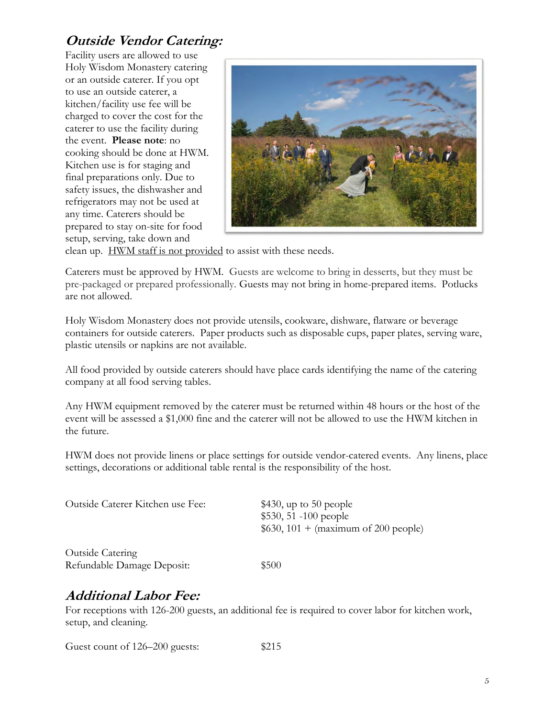# **Outside Vendor Catering:**

Facility users are allowed to use Holy Wisdom Monastery catering or an outside caterer. If you opt to use an outside caterer, a kitchen/facility use fee will be charged to cover the cost for the caterer to use the facility during the event. **Please note**: no cooking should be done at HWM. Kitchen use is for staging and final preparations only. Due to safety issues, the dishwasher and refrigerators may not be used at any time. Caterers should be prepared to stay on-site for food setup, serving, take down and



clean up. HWM staff is not provided to assist with these needs.

Caterers must be approved by HWM. Guests are welcome to bring in desserts, but they must be pre-packaged or prepared professionally. Guests may not bring in home-prepared items. Potlucks are not allowed.

Holy Wisdom Monastery does not provide utensils, cookware, dishware, flatware or beverage containers for outside caterers. Paper products such as disposable cups, paper plates, serving ware, plastic utensils or napkins are not available.

All food provided by outside caterers should have place cards identifying the name of the catering company at all food serving tables.

Any HWM equipment removed by the caterer must be returned within 48 hours or the host of the event will be assessed a \$1,000 fine and the caterer will not be allowed to use the HWM kitchen in the future.

HWM does not provide linens or place settings for outside vendor-catered events. Any linens, place settings, decorations or additional table rental is the responsibility of the host.

| Outside Caterer Kitchen use Fee: | $$430$ , up to 50 people<br>$$530, 51 - 100$ people<br>\$630, 101 + (maximum of 200 people) |
|----------------------------------|---------------------------------------------------------------------------------------------|
| <b>Outside Catering</b>          |                                                                                             |
| Refundable Damage Deposit:       | \$500                                                                                       |

### **Additional Labor Fee:**

For receptions with 126-200 guests, an additional fee is required to cover labor for kitchen work, setup, and cleaning.

Guest count of 126–200 guests: \$215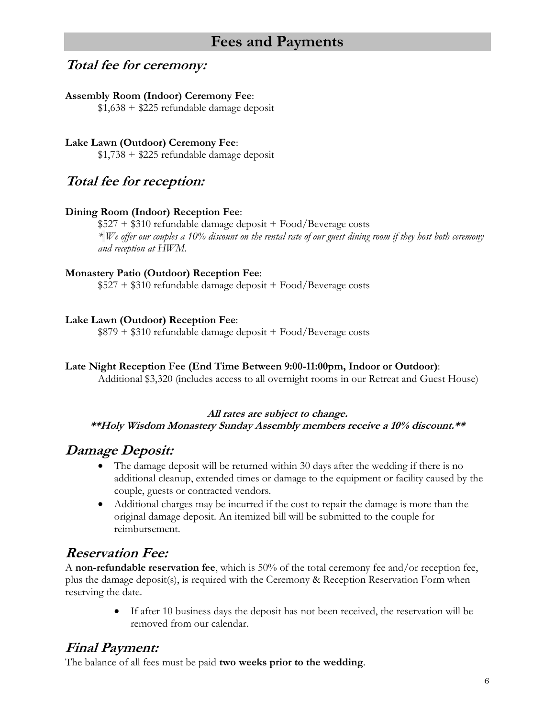# **Fees and Payments**

### **Total fee for ceremony:**

#### **Assembly Room (Indoor) Ceremony Fee**:

 $$1,638 + $225$  refundable damage deposit

**Lake Lawn (Outdoor) Ceremony Fee**:  $$1,738 + $225$  refundable damage deposit

**Total fee for reception:**

#### **Dining Room (Indoor) Reception Fee**:

 $$527 + $310$  refundable damage deposit + Food/Beverage costs *\* We offer our couples a 10% discount on the rental rate of our guest dining room if they host both ceremony and reception at HWM.* 

#### **Monastery Patio (Outdoor) Reception Fee**:

 $$527 + $310$  refundable damage deposit + Food/Beverage costs

#### **Lake Lawn (Outdoor) Reception Fee**:

\$879 + \$310 refundable damage deposit + Food/Beverage costs

#### **Late Night Reception Fee (End Time Between 9:00-11:00pm, Indoor or Outdoor)**:

Additional \$3,320 (includes access to all overnight rooms in our Retreat and Guest House)

#### **All rates are subject to change. \*\*Holy Wisdom Monastery Sunday Assembly members receive a 10% discount.\*\***

### **Damage Deposit:**

- The damage deposit will be returned within 30 days after the wedding if there is no additional cleanup, extended times or damage to the equipment or facility caused by the couple, guests or contracted vendors.
- Additional charges may be incurred if the cost to repair the damage is more than the original damage deposit. An itemized bill will be submitted to the couple for reimbursement.

### **Reservation Fee:**

A **non-refundable reservation fee**, which is 50% of the total ceremony fee and/or reception fee, plus the damage deposit(s), is required with the Ceremony & Reception Reservation Form when reserving the date.

> • If after 10 business days the deposit has not been received, the reservation will be removed from our calendar.

### **Final Payment:**

The balance of all fees must be paid **two weeks prior to the wedding**.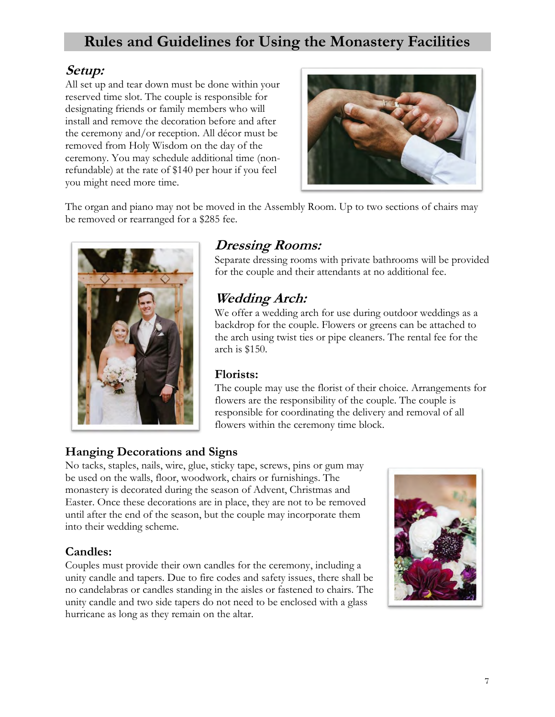# **Rules and Guidelines for Using the Monastery Facilities**

### **Setup:**

All set up and tear down must be done within your reserved time slot. The couple is responsible for designating friends or family members who will install and remove the decoration before and after the ceremony and/or reception. All décor must be removed from Holy Wisdom on the day of the ceremony. You may schedule additional time (nonrefundable) at the rate of \$140 per hour if you feel you might need more time.



The organ and piano may not be moved in the Assembly Room. Up to two sections of chairs may be removed or rearranged for a \$285 fee.



## **Dressing Rooms:**

Separate dressing rooms with private bathrooms will be provided for the couple and their attendants at no additional fee.

## **Wedding Arch:**

We offer a wedding arch for use during outdoor weddings as a backdrop for the couple. Flowers or greens can be attached to the arch using twist ties or pipe cleaners. The rental fee for the arch is \$150.

### **Florists:**

The couple may use the florist of their choice. Arrangements for flowers are the responsibility of the couple. The couple is responsible for coordinating the delivery and removal of all flowers within the ceremony time block.

### **Hanging Decorations and Signs**

No tacks, staples, nails, wire, glue, sticky tape, screws, pins or gum may be used on the walls, floor, woodwork, chairs or furnishings. The monastery is decorated during the season of Advent, Christmas and Easter. Once these decorations are in place, they are not to be removed until after the end of the season, but the couple may incorporate them into their wedding scheme.

### **Candles:**

Couples must provide their own candles for the ceremony, including a unity candle and tapers. Due to fire codes and safety issues, there shall be no candelabras or candles standing in the aisles or fastened to chairs. The unity candle and two side tapers do not need to be enclosed with a glass hurricane as long as they remain on the altar.

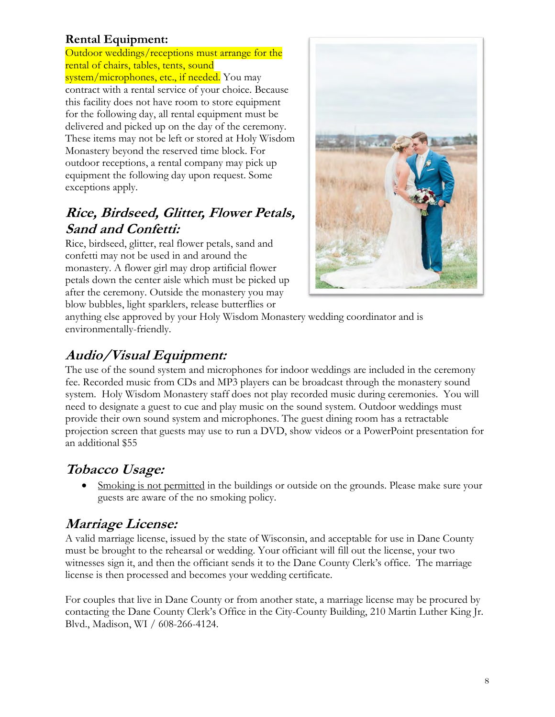### **Rental Equipment:**

Outdoor weddings/receptions must arrange for the rental of chairs, tables, tents, sound system/microphones, etc., if needed. You may contract with a rental service of your choice. Because this facility does not have room to store equipment for the following day, all rental equipment must be delivered and picked up on the day of the ceremony. These items may not be left or stored at Holy Wisdom Monastery beyond the reserved time block. For outdoor receptions, a rental company may pick up equipment the following day upon request. Some exceptions apply.

## **Rice, Birdseed, Glitter, Flower Petals, Sand and Confetti:**

Rice, birdseed, glitter, real flower petals, sand and confetti may not be used in and around the monastery. A flower girl may drop artificial flower petals down the center aisle which must be picked up after the ceremony. Outside the monastery you may blow bubbles, light sparklers, release butterflies or



anything else approved by your Holy Wisdom Monastery wedding coordinator and is environmentally-friendly.

# **Audio/Visual Equipment:**

The use of the sound system and microphones for indoor weddings are included in the ceremony fee. Recorded music from CDs and MP3 players can be broadcast through the monastery sound system. Holy Wisdom Monastery staff does not play recorded music during ceremonies. You will need to designate a guest to cue and play music on the sound system. Outdoor weddings must provide their own sound system and microphones. The guest dining room has a retractable projection screen that guests may use to run a DVD, show videos or a PowerPoint presentation for an additional \$55

# **Tobacco Usage:**

• Smoking is not permitted in the buildings or outside on the grounds. Please make sure your guests are aware of the no smoking policy.

# **Marriage License:**

A valid marriage license, issued by the state of Wisconsin, and acceptable for use in Dane County must be brought to the rehearsal or wedding. Your officiant will fill out the license, your two witnesses sign it, and then the officiant sends it to the Dane County Clerk's office. The marriage license is then processed and becomes your wedding certificate.

For couples that live in Dane County or from another state, a marriage license may be procured by contacting the Dane County Clerk's Office in the City-County Building, 210 Martin Luther King Jr. Blvd., Madison, WI / 608-266-4124.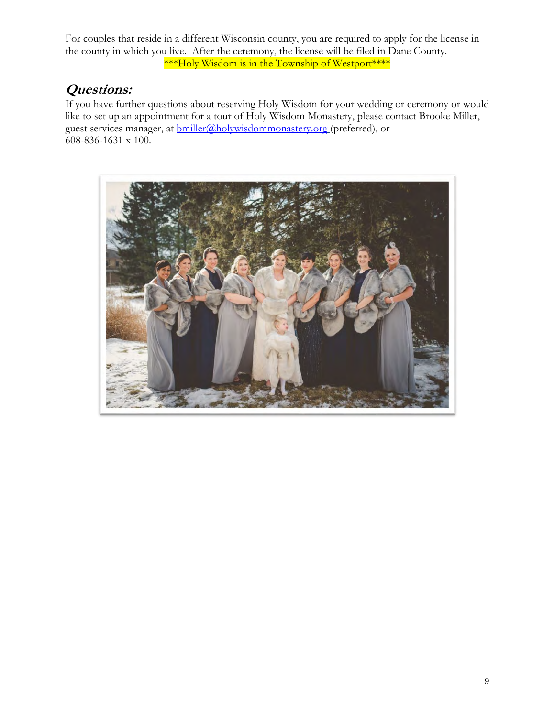For couples that reside in a different Wisconsin county, you are required to apply for the license in the county in which you live. After the ceremony, the license will be filed in Dane County. \*\*\*Holy Wisdom is in the Township of Westport\*\*\*\*

### **Questions:**

If you have further questions about reserving Holy Wisdom for your wedding or ceremony or would like to set up an appointment for a tour of Holy Wisdom Monastery, please contact Brooke Miller, guest services manager, at **bmiller@holywisdommonastery.org** (preferred), or 608-836-1631 x 100.

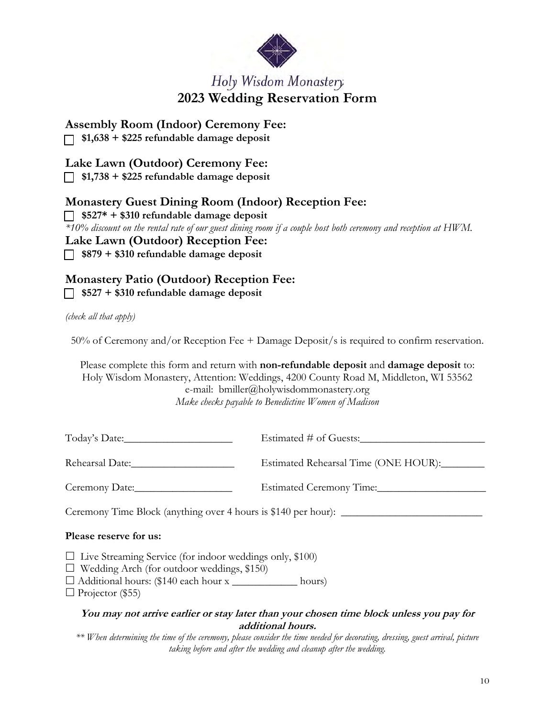

# Holy Wisdom Monastery **2023 Wedding Reservation Form**

**Assembly Room (Indoor) Ceremony Fee:**

 **\$1,638 + \$225 refundable damage deposit** 

**Lake Lawn (Outdoor) Ceremony Fee:**

 **\$1,738 + \$225 refundable damage deposit** 

### **Monastery Guest Dining Room (Indoor) Reception Fee:**

 **\$527\* + \$310 refundable damage deposit**  *\*10% discount on the rental rate of our guest dining room if a couple host both ceremony and reception at HWM.*

### **Lake Lawn (Outdoor) Reception Fee:**

 **\$879 + \$310 refundable damage deposit** 

### **Monastery Patio (Outdoor) Reception Fee:**

 **\$527 + \$310 refundable damage deposit** 

*(check all that apply)*

50% of Ceremony and/or Reception Fee + Damage Deposit/s is required to confirm reservation.

Please complete this form and return with **non-refundable deposit** and **damage deposit** to: Holy Wisdom Monastery, Attention: Weddings, 4200 County Road M, Middleton, WI 53562 e-mail: bmiller@holywisdommonastery.org *Make checks payable to Benedictine Women of Madison*

| Today's Date:   | Estimated # of Guests:               |
|-----------------|--------------------------------------|
| Rehearsal Date: | Estimated Rehearsal Time (ONE HOUR): |

Ceremony Date:\_\_\_\_\_\_\_\_\_\_\_\_\_\_\_\_\_\_ Estimated Ceremony Time:\_\_\_\_\_\_\_\_\_\_\_\_\_\_\_\_\_\_\_\_

Ceremony Time Block (anything over 4 hours is \$140 per hour):

#### **Please reserve for us:**

- $\Box$  Live Streaming Service (for indoor weddings only, \$100)
- $\Box$  Wedding Arch (for outdoor weddings, \$150)
- Additional hours: (\$140 each hour x \_\_\_\_\_\_\_\_\_\_\_\_ hours)

 $\Box$  Projector (\$55)

#### **You may not arrive earlier or stay later than your chosen time block unless you pay for additional hours.**

*\*\* When determining the time of the ceremony, please consider the time needed for decorating, dressing, guest arrival, picture taking before and after the wedding and cleanup after the wedding.*